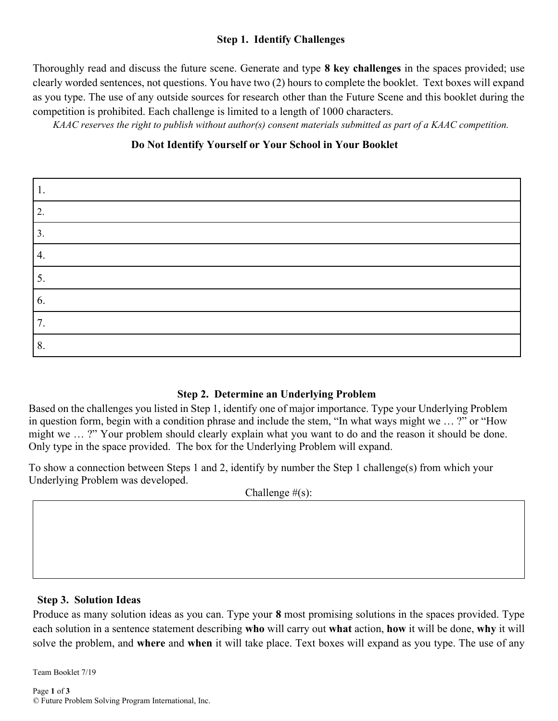## **Step 1. Identify Challenges**

Thoroughly read and discuss the future scene. Generate and type **8 key challenges** in the spaces provided; use clearly worded sentences, not questions. You have two (2) hours to complete the booklet. Text boxes will expand as you type. The use of any outside sources for research other than the Future Scene and this booklet during the competition is prohibited. Each challenge is limited to a length of 1000 characters.

 *KAAC reserves the right to publish without author(s) consent materials submitted as part of a KAAC competition.*

## **Do Not Identify Yourself or Your School in Your Booklet**

| ι.               |  |
|------------------|--|
| 2.               |  |
| 3.               |  |
| $\overline{4}$ . |  |
| 5.               |  |
| 6.               |  |
| 7.               |  |
| 8.               |  |

## **Step 2. Determine an Underlying Problem**

Based on the challenges you listed in Step 1, identify one of major importance. Type your Underlying Problem in question form, begin with a condition phrase and include the stem, "In what ways might we … ?" or "How might we … ?" Your problem should clearly explain what you want to do and the reason it should be done. Only type in the space provided. The box for the Underlying Problem will expand.

To show a connection between Steps 1 and 2, identify by number the Step 1 challenge(s) from which your Underlying Problem was developed.

Challenge  $#(s)$ :

#### **Step 3. Solution Ideas**

Produce as many solution ideas as you can. Type your **8** most promising solutions in the spaces provided. Type each solution in a sentence statement describing **who** will carry out **what** action, **how** it will be done, **why** it will solve the problem, and **where** and **when** it will take place. Text boxes will expand as you type. The use of any

Team Booklet 7/19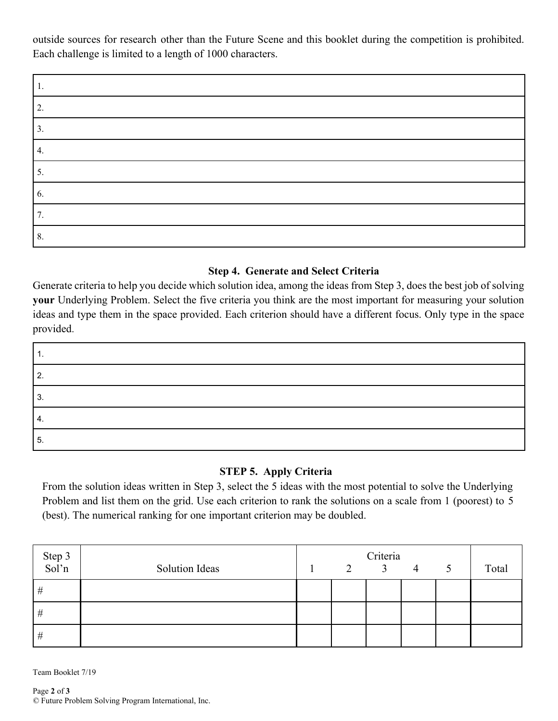outside sources for research other than the Future Scene and this booklet during the competition is prohibited. Each challenge is limited to a length of 1000 characters.

| .,                |  |
|-------------------|--|
| ◠<br><u>، ، ،</u> |  |
| э.                |  |
| 4.                |  |
| 5.                |  |
| 6.                |  |
| .,                |  |
| 8.                |  |

## **Step 4. Generate and Select Criteria**

Generate criteria to help you decide which solution idea, among the ideas from Step 3, does the best job of solving **your** Underlying Problem. Select the five criteria you think are the most important for measuring your solution ideas and type them in the space provided. Each criterion should have a different focus. Only type in the space provided.

| ◠  |  |
|----|--|
|    |  |
| 4. |  |
| ა. |  |

# **STEP 5. Apply Criteria**

From the solution ideas written in Step 3, select the 5 ideas with the most potential to solve the Underlying Problem and list them on the grid. Use each criterion to rank the solutions on a scale from 1 (poorest) to 5 (best). The numerical ranking for one important criterion may be doubled.

| Step 3<br>Sol'n |                |   | Criteria       |   |   |       |
|-----------------|----------------|---|----------------|---|---|-------|
|                 | Solution Ideas | 2 | $\overline{3}$ | 4 | 5 | Total |
| #               |                |   |                |   |   |       |
| #               |                |   |                |   |   |       |
| #               |                |   |                |   |   |       |

Team Booklet 7/19